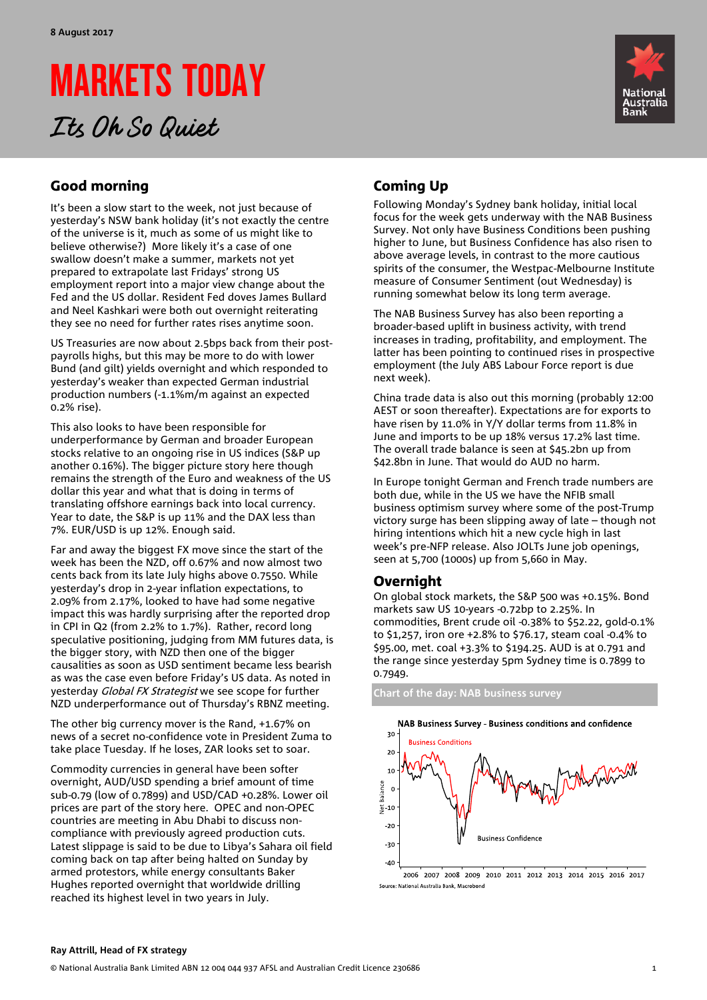# MARKETS TODAY

## Its Oh So Quiet



### Good morning

It's been a slow start to the week, not just because of yesterday's NSW bank holiday (it's not exactly the centre of the universe is it, much as some of us might like to believe otherwise?) More likely it's a case of one swallow doesn't make a summer, markets not yet prepared to extrapolate last Fridays' strong US employment report into a major view change about the Fed and the US dollar. Resident Fed doves James Bullard and Neel Kashkari were both out overnight reiterating they see no need for further rates rises anytime soon.

US Treasuries are now about 2.5bps back from their postpayrolls highs, but this may be more to do with lower Bund (and gilt) yields overnight and which responded to yesterday's weaker than expected German industrial production numbers (-1.1%m/m against an expected 0.2% rise).

This also looks to have been responsible for underperformance by German and broader European stocks relative to an ongoing rise in US indices (S&P up another 0.16%). The bigger picture story here though remains the strength of the Euro and weakness of the US dollar this year and what that is doing in terms of translating offshore earnings back into local currency. Year to date, the S&P is up 11% and the DAX less than 7%. EUR/USD is up 12%. Enough said.

Far and away the biggest FX move since the start of the week has been the NZD, off 0.67% and now almost two cents back from its late July highs above 0.7550. While yesterday's drop in 2-year inflation expectations, to 2.09% from 2.17%, looked to have had some negative impact this was hardly surprising after the reported drop in CPI in Q2 (from 2.2% to 1.7%). Rather, record long speculative positioning, judging from MM futures data, is the bigger story, with NZD then one of the bigger causalities as soon as USD sentiment became less bearish as was the case even before Friday's US data. As noted in yesterday Global FX Strategist we see scope for further NZD underperformance out of Thursday's RBNZ meeting.

The other big currency mover is the Rand, +1.67% on news of a secret no-confidence vote in President Zuma to take place Tuesday. If he loses, ZAR looks set to soar.

Commodity currencies in general have been softer overnight, AUD/USD spending a brief amount of time sub-0.79 (low of 0.7899) and USD/CAD +0.28%. Lower oil prices are part of the story here. OPEC and non-OPEC countries are meeting in Abu Dhabi to discuss noncompliance with previously agreed production cuts. Latest slippage is said to be due to Libya's Sahara oil field coming back on tap after being halted on Sunday by armed protestors, while energy consultants Baker Hughes reported overnight that worldwide drilling reached its highest level in two years in July.

### Coming Up

Following Monday's Sydney bank holiday, initial local focus for the week gets underway with the NAB Business Survey. Not only have Business Conditions been pushing higher to June, but Business Confidence has also risen to above average levels, in contrast to the more cautious spirits of the consumer, the Westpac-Melbourne Institute measure of Consumer Sentiment (out Wednesday) is running somewhat below its long term average.

The NAB Business Survey has also been reporting a broader-based uplift in business activity, with trend increases in trading, profitability, and employment. The latter has been pointing to continued rises in prospective employment (the July ABS Labour Force report is due next week).

China trade data is also out this morning (probably 12:00 AEST or soon thereafter). Expectations are for exports to have risen by 11.0% in Y/Y dollar terms from 11.8% in June and imports to be up 18% versus 17.2% last time. The overall trade balance is seen at \$45.2bn up from \$42.8bn in June. That would do AUD no harm.

In Europe tonight German and French trade numbers are both due, while in the US we have the NFIB small business optimism survey where some of the post-Trump victory surge has been slipping away of late – though not hiring intentions which hit a new cycle high in last week's pre-NFP release. Also JOLTs June job openings, seen at 5,700 (1000s) up from 5,660 in May.

### Overnight

On global stock markets, the S&P 500 was +0.15%. Bond markets saw US 10-years -0.72bp to 2.25%. In commodities, Brent crude oil -0.38% to \$52.22, gold-0.1% to \$1,257, iron ore +2.8% to \$76.17, steam coal -0.4% to \$95.00, met. coal +3.3% to \$194.25. AUD is at 0.791 and the range since yesterday 5pm Sydney time is 0.7899 to 0.7949.

**Chart of the day: NAB business survey** 



2006 2007 2008 2009 2010 2011 2012 2013 2014 2015 2016 2017 Source: National Australia Bank, Mac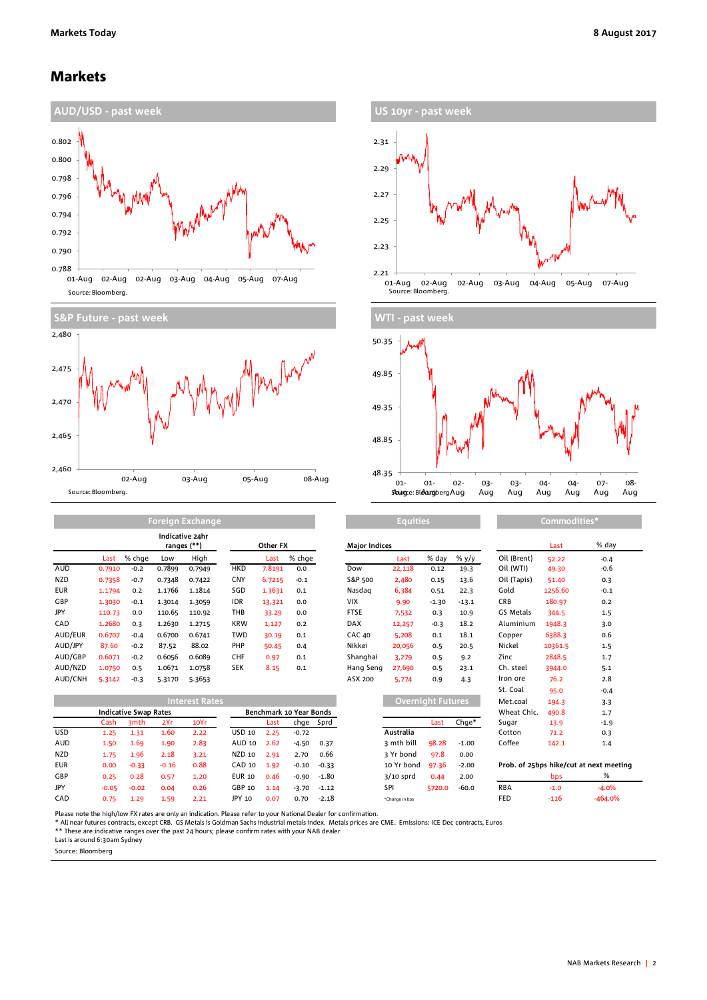### Markets





| US 10yr - past week                                                                      |
|------------------------------------------------------------------------------------------|
| 2.31                                                                                     |
| 2.29                                                                                     |
| 2.27                                                                                     |
| 2.25                                                                                     |
| 2.23                                                                                     |
| 2.21                                                                                     |
| 02-Aug<br>03-Aug<br>04-Aug<br>05-Aug<br>07-Aug<br>01-Aug<br>02-Aug<br>Source: Bloomberg. |



**Equities Commodities\***

|            |        |        |        | Indicative 24hr<br>ranges (**) | Other FX   |        |        | <b>Maior Indices</b> |        |         |         |             | Last    | % da   |
|------------|--------|--------|--------|--------------------------------|------------|--------|--------|----------------------|--------|---------|---------|-------------|---------|--------|
|            | Last   | % chae | Low    | High                           |            | Last   | % chge |                      | Last   | % day   | % $y/y$ | Oil (Brent) | 52.22   | $-0.4$ |
| <b>AUD</b> | 0.7910 | $-0.2$ | 0.7899 | 0.7949                         | <b>HKD</b> | 7.8191 | 0.0    | Dow                  | 22,118 | 0.12    | 19.3    | Oil (WTI)   | 49.30   | $-0.6$ |
| <b>NZD</b> | 0.7358 | $-0.7$ | 0.7348 | 0.7422                         | <b>CNY</b> | 6.7215 | $-0.1$ | S&P 500              | 2,480  | 0.15    | 13.6    | Oil (Tapis) | 51.40   | 0.3    |
| <b>EUR</b> | 1.1794 | 0.2    | 1.1766 | 1.1814                         | SGD        | 1.3631 | 0.1    | Nasdag               | 6,384  | 0.51    | 22.3    | Gold        | 1256.60 | $-0.1$ |
| GBP        | 1.3030 | $-0.1$ | 1.3014 | 1.3059                         | <b>IDR</b> | 13,321 | 0.0    | <b>VIX</b>           | 9.90   | $-1.30$ | $-13.1$ | <b>CRB</b>  | 180.97  | 0.2    |
| JPY        | 110.73 | 0.0    | 110.65 | 110.92                         | THB        | 33.29  | 0.0    | <b>FTSE</b>          | 7,532  | 0.3     | 10.9    | GS Metals   | 344.5   | 1.5    |
| <b>CAD</b> | 1.2680 | 0.3    | 1.2630 | 1.2715                         | <b>KRW</b> | 1,127  | 0.2    | <b>DAX</b>           | 12,257 | $-0.3$  | 18.2    | Aluminium   | 1948.3  | 3.0    |
| AUD/EUR    | 0.6707 | $-0.4$ | 0.6700 | 0.6741                         | TWD        | 30.19  | 0.1    | <b>CAC 40</b>        | 5,208  | 0.1     | 18.1    | Copper      | 6388.3  | 0.6    |
| AUD/JPY    | 87.60  | $-0.2$ | 87.52  | 88.02                          | PHP        | 50.45  | 0.4    | Nikkei               | 20,056 | 0.5     | 20.5    | Nickel      | 10361.5 | 1.5    |
| AUD/GBP    | 0.6071 | $-0.2$ | 0.6056 | 0.6089                         | <b>CHF</b> | 0.97   | 0.1    | Shanghai             | 3,279  | 0.5     | 9.2     | Zinc        | 2848.5  | 1.7    |
| AUD/NZD    | 1.0750 | 0.5    | 1.0671 | 1.0758                         | <b>SEK</b> | 8.15   | 0.1    | Hang Seng            | 27,690 | 0.5     | 23.1    | Ch. steel   | 3944.0  | 5.1    |
| AUD/CNH    | 5.3142 | $-0.3$ | 5.3170 | 5.3653                         |            |        |        | ASX 200              | 5,774  | 0.9     | 4.3     | Iron ore    | 76.2    | 2.8    |

**Foreign Exchange**

|            |                              | <b>Interest Rates</b> |         |      |               |                         |         | Overnight Futures, |                |        | 194.3   | 3.3        |        |                                         |
|------------|------------------------------|-----------------------|---------|------|---------------|-------------------------|---------|--------------------|----------------|--------|---------|------------|--------|-----------------------------------------|
|            | <b>Indicative Swap Rates</b> |                       |         |      |               | Benchmark 10 Year Bonds |         |                    |                |        |         |            | 490.8  | 1.7                                     |
|            | Cash                         | 3 <sub>mth</sub>      | 2Yr     | 10Yr |               | Last                    |         | chge Sprd          |                | Last   | Chae*   | Sugar      | 13.9   | $-1.9$                                  |
| USD.       | 1.25                         | 1.31                  | 1.60    | 2.22 | USD 10        | 2.25                    | $-0.72$ |                    | Australia      |        |         | Cotton     | 71.2   | 0.3                                     |
| AUD        | 1.50                         | 1.69                  | 1.90    | 2.83 | AUD 10        | 2.62                    | $-4.50$ | 0.37               | 3 mth bill     | 98.28  | $-1.00$ | Coffee     | 142.1  | 1.4                                     |
| <b>NZD</b> | 1.75                         | 1.96                  | 2.18    | 3.21 | NZD 10        | 2.91                    | 2.70    | 0.66               | 3 Yr bond      | 97.8   | 0.00    |            |        |                                         |
| <b>EUR</b> | 0.00                         | $-0.33$               | $-0.16$ | 0.88 | CAD 10        | 1.92                    | $-0.10$ | $-0.33$            | 10 Yr bond     | 97.36  | $-2.00$ |            |        | Prob. of 25bps hike/cut at next meeting |
| GBP        | 0.25                         | 0.28                  | 0.57    | 1.20 | <b>EUR 10</b> | 0.46                    | $-0.90$ | $-1.80$            | $3/10$ sprd    | 0.44   | 2.00    |            | bps    | %                                       |
| JPY        | $-0.05$                      | $-0.02$               | 0.04    | 0.26 | GBP 10        | 1.14                    | $-3.70$ | $-1.12$            | SPI            | 5720.0 | $-60.0$ | <b>RBA</b> | $-1.0$ | $-4.0%$                                 |
| CAD        | 0.75                         | 1.29                  | 1.59    | 2.21 | JPY 10        | 0.07                    | 0.70    | $-2.18$            | *Change in bps |        |         | <b>FED</b> | $-116$ | $-464.0%$                               |

| <b>Major Indices</b> |                          |         |         |                                    | Last    | % day                                   |
|----------------------|--------------------------|---------|---------|------------------------------------|---------|-----------------------------------------|
|                      | Last                     | % day   | % y/y   | Oil (Brent)                        | 52.22   | $-0.4$                                  |
| Dow                  | 22,118                   | 0.12    | 19.3    | Oil (WTI)                          | 49.30   | $-0.6$                                  |
| S&P 500              | 2,480                    | 0.15    | 13.6    | Oil (Tapis)                        | 51.40   | 0.3                                     |
| Nasdag               | 6,384                    | 0.51    | 22.3    | Gold                               | 1256.60 | $-0.1$                                  |
| VIX                  | 9.90                     | $-1.30$ | $-13.1$ | CRB                                | 180.97  | 0.2                                     |
| <b>FTSE</b>          | 7,532                    | 0.3     | 10.9    | GS Metals                          | 344.5   | 1.5                                     |
| <b>DAX</b>           | 12,257                   | $-0.3$  | 18.2    | Aluminium                          | 1948.3  | 3.0                                     |
| <b>CAC 40</b>        | 5,208                    | 0.1     | 18.1    | Copper                             | 6388.3  | 0.6                                     |
| Nikkei               | 20,056                   | 0.5     | 20.5    | Nickel                             | 10361.5 | 1.5                                     |
| Shanghai             | 3,279                    | 0.5     | 9.2     | Zinc                               | 2848.5  | 1.7                                     |
| Hang Seng            | 27,690                   | 0.5     | 23.1    | Ch. steel                          | 3944.0  | 5.1                                     |
| ASX 200              | 5,774                    | 0.9     | 4.3     | Iron ore                           | 76.2    | 2.8                                     |
|                      |                          |         |         | St. Coal                           | 95.0    | $-0.4$                                  |
|                      | <b>Overnight Futures</b> |         |         | Met.coal                           | 194.3   | 3.3                                     |
|                      |                          |         |         | Wheat Chic.                        | 490.8   | 1.7                                     |
|                      |                          | Last    | Chge*   | Sugar                              | 13.9    | $-1.9$                                  |
|                      | Australia                |         |         | Cotton                             | 71.2    | 0.3                                     |
|                      | 3 mth bill               | 98.28   | $-1.00$ | Coffee                             | 142.1   | 1.4                                     |
|                      | 3 Yr bond                | 97.8    | 0.00    |                                    |         |                                         |
|                      | 10 Yr bond               | 97.36   | $-2.00$ | Prob. of 25bps hike/cut at next me |         |                                         |
|                      | ---                      |         |         |                                    |         | $\sim$ 0.4 $\sim$ 0.4 $\sim$ 0.4 $\sim$ |

|                                         | bps   | %      |  |  |  |  |  |  |
|-----------------------------------------|-------|--------|--|--|--|--|--|--|
| Prob. of 25bps hike/cut at next meeting |       |        |  |  |  |  |  |  |
|                                         |       |        |  |  |  |  |  |  |
| Coffee                                  | 142.1 | 1.4    |  |  |  |  |  |  |
| Cotton                                  | 71.2  | 0.3    |  |  |  |  |  |  |
| Sugar                                   | 13.9  | $-1.9$ |  |  |  |  |  |  |
| Wheat Chic.                             | 490.8 | 1.7    |  |  |  |  |  |  |
| Met.coal                                | 194.3 | 3.3    |  |  |  |  |  |  |
| St. Coal                                | 95.0  | $-0.4$ |  |  |  |  |  |  |

Please note the high/low FX rates are only an indication. Please refer to your National Dealer for confirmation.

\* All near futures contracts, except CRB. GS Metals is Goldman Sachs industrial metals index. Metals prices are CME. Emissions: ICE Dec contracts, Euros<br>\*\* These are indicative ranges over the past 24 hours; please confirm

Last is around 6:30am Sydney

Source: Bloomberg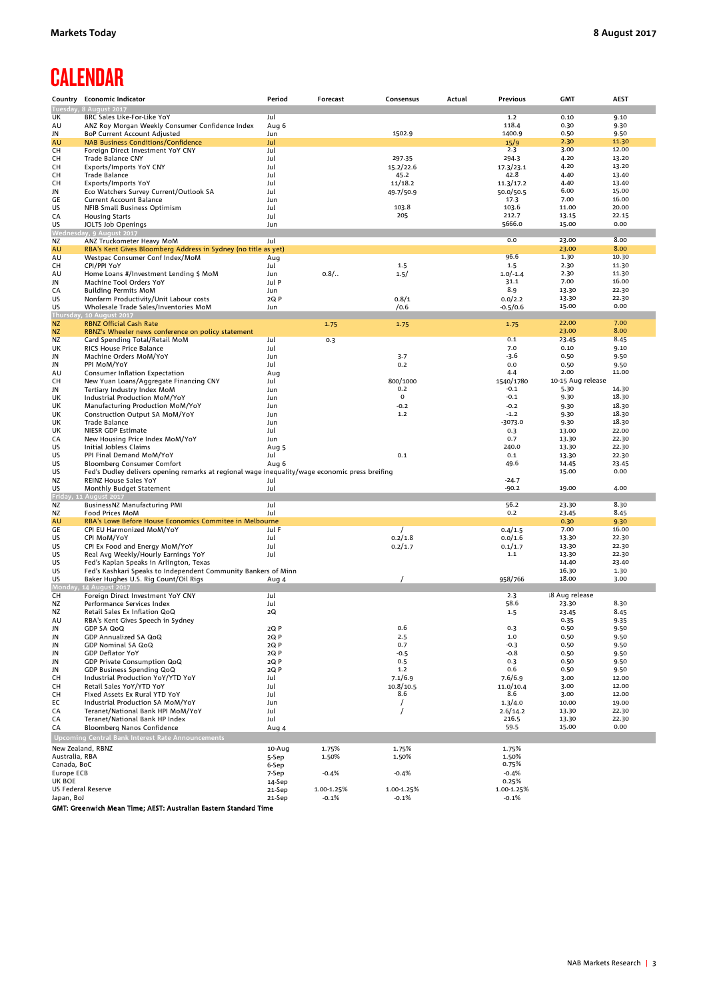### **CALENDAR**

| Country                   | <b>Economic Indicator</b>                                                                      | Period           | Forecast   | Consensus            | Actual | <b>Previous</b>      | <b>GMT</b>        | <b>AEST</b>    |
|---------------------------|------------------------------------------------------------------------------------------------|------------------|------------|----------------------|--------|----------------------|-------------------|----------------|
|                           | Tuesday, 8 August 2017                                                                         |                  |            |                      |        |                      |                   |                |
| UK                        | BRC Sales Like-For-Like YoY                                                                    | Jul              |            |                      |        | $1.2$                | 0.10              | 9.10           |
| AU<br>JN                  | ANZ Roy Morgan Weekly Consumer Confidence Index<br>BoP Current Account Adjusted                | Aug 6<br>Jun     |            | 1502.9               |        | 118.4<br>1400.9      | 0.30<br>0.50      | 9.30<br>9.50   |
| AU                        | <b>NAB Business Conditions/Confidence</b>                                                      | Jul              |            |                      |        | 15/9                 | 2.30              | 11.30          |
| CН                        | Foreign Direct Investment YoY CNY                                                              | Jul              |            |                      |        | 2.3                  | 3.00              | 12.00          |
| CН                        | Trade Balance CNY                                                                              | Jul              |            | 297.35               |        | 294.3                | 4.20              | 13.20          |
| CН                        | Exports/Imports YoY CNY                                                                        | Jul              |            | 15.2/22.6            |        | 17.3/23.1            | 4.20              | 13.20          |
| CН                        | <b>Trade Balance</b>                                                                           | Jul              |            | 45.2                 |        | 42.8                 | 4.40              | 13.40          |
| CН                        | Exports/Imports YoY                                                                            | Jul              |            | 11/18.2              |        | 11.3/17.2            | 4.40              | 13.40          |
| JN                        | Eco Watchers Survey Current/Outlook SA                                                         | Jul              |            | 49.7/50.9            |        | 50.0/50.5            | 6.00              | 15.00          |
| GE<br>US                  | Current Account Balance                                                                        | Jun<br>Jul       |            | 103.8                |        | 17.3<br>103.6        | 7.00<br>11.00     | 16.00<br>20.00 |
| CA                        | NFIB Small Business Optimism<br><b>Housing Starts</b>                                          | Jul              |            | 205                  |        | 212.7                | 13.15             | 22.15          |
| US                        | JOLTS Job Openings                                                                             | Jun              |            |                      |        | 5666.0               | 15.00             | 0.00           |
| Wednesd                   | lay, 9 August 2017                                                                             |                  |            |                      |        |                      |                   |                |
| ΝZ                        | ANZ Truckometer Heavy MoM                                                                      | Jul              |            |                      |        | 0.0                  | 23.00             | 8.00           |
| AU                        | RBA's Kent Gives Bloomberg Address in Sydney (no title as yet)                                 |                  |            |                      |        |                      | 23.00             | 8.00           |
| AU                        | Westpac Consumer Conf Index/MoM                                                                | Aug              |            |                      |        | 96.6                 | 1.30              | 10.30          |
| CH<br>AU                  | CPI/PPI YoY<br>Home Loans #/Investment Lending \$ MoM                                          | Jul<br>Jun       | $0.8/$     | 1.5                  |        | 1.5<br>$1.0/-1.4$    | 2.30<br>2.30      | 11.30<br>11.30 |
| JN                        | Machine Tool Orders YoY                                                                        | Jul P            |            | 1.5/                 |        | 31.1                 | 7.00              | 16.00          |
| CA                        | <b>Building Permits MoM</b>                                                                    | Jun              |            |                      |        | 8.9                  | 13.30             | 22.30          |
| US                        | Nonfarm Productivity/Unit Labour costs                                                         | 2Q P             |            | 0.8/1                |        | 0.0/2.2              | 13.30             | 22.30          |
| US                        | Wholesale Trade Sales/Inventories MoM                                                          | Jun              |            | /0.6                 |        | $-0.5/0.6$           | 15.00             | 0.00           |
| Thursda                   | , 10 August 2017                                                                               |                  |            |                      |        |                      |                   |                |
| ΝZ                        | <b>RBNZ Official Cash Rate</b>                                                                 |                  | 1.75       | 1.75                 |        | 1.75                 | 22.00             | 7.00           |
| ΝZ                        | RBNZ's Wheeler news conference on policy statement                                             |                  |            |                      |        | 0.1                  | 23.00             | 8.00<br>8.45   |
| ΝZ<br>UK                  | Card Spending Total/Retail MoM<br>RICS House Price Balance                                     | Jul<br>Jul       | 0.3        |                      |        | 7.0                  | 23.45<br>0.10     | 9.10           |
| JN                        | Machine Orders MoM/YoY                                                                         | Jun              |            | 3.7                  |        | -3.6                 | 0.50              | 9.50           |
| JN                        | PPI MoM/YoY                                                                                    | Jul              |            | 0.2                  |        | 0.0                  | 0.50              | 9.50           |
| AU                        | Consumer Inflation Expectation                                                                 | Aug              |            |                      |        | 4.4                  | 2.00              | 11.00          |
| CН                        | New Yuan Loans/Aggregate Financing CNY                                                         | Jul              |            | 800/1000             |        | 1540/1780            | 10-15 Aug release |                |
| JN                        | Tertiary Industry Index MoM                                                                    | Jun              |            | 0.2                  |        | $-0.1$               | 5.30              | 14.30          |
| UK                        | Industrial Production MoM/YoY                                                                  | Jun              |            | 0                    |        | $-0.1$               | 9.30              | 18.30          |
| UK                        | Manufacturing Production MoM/YoY                                                               | Jun              |            | $-0.2$<br>1.2        |        | $-0.2$<br>$-1.2$     | 9.30              | 18.30<br>18.30 |
| UK<br>UK                  | Construction Output SA MoM/YoY<br><b>Trade Balance</b>                                         | Jun<br>Jun       |            |                      |        | $-3073.0$            | 9.30<br>9.30      | 18.30          |
| UK                        | NIESR GDP Estimate                                                                             | Jul              |            |                      |        | 0.3                  | 13.00             | 22.00          |
| CA                        | New Housing Price Index MoM/YoY                                                                | Jun              |            |                      |        | 0.7                  | 13.30             | 22.30          |
| US                        | Initial Jobless Claims                                                                         | Aug 5            |            |                      |        | 240.0                | 13.30             | 22.30          |
| US                        | PPI Final Demand MoM/YoY                                                                       | Jul              |            | 0.1                  |        | 0.1                  | 13.30             | 22.30          |
| US                        | <b>Bloomberg Consumer Comfort</b>                                                              | Aug 6            |            |                      |        | 49.6                 | 14.45             | 23.45          |
| US                        | Fed's Dudley delivers opening remarks at regional wage inequality/wage economic press breifing |                  |            |                      |        |                      | 15.00             | 0.00           |
| ΝZ<br>US                  | REINZ House Sales YoY                                                                          | Jul<br>Jul       |            |                      |        | $-24.7$<br>$-90.2$   | 19.00             | 4.00           |
|                           | Monthly Budget Statement<br>Friday, 11 August 2017                                             |                  |            |                      |        |                      |                   |                |
| ΝZ                        | BusinessNZ Manufacturing PMI                                                                   | Jul              |            |                      |        | 56.2                 | 23.30             | 8.30           |
| ΝZ                        | Food Prices MoM                                                                                | Jul              |            |                      |        | 0.2                  | 23.45             | 8.45           |
| AU                        | RBA's Lowe Before House Economics Commitee in Melbourne                                        |                  |            |                      |        |                      | 0.30              | 9.30           |
| GE                        | CPI EU Harmonized MoM/YoY                                                                      | Jul F            |            | $\prime$             |        | 0.4/1.5              | 7.00              | 16.00          |
| US                        | CPI MoM/YoY                                                                                    | Jul              |            | 0.2/1.8              |        | 0.0/1.6              | 13.30             | 22.30          |
| US<br>US                  | CPI Ex Food and Energy MoM/YoY<br>Real Avg Weekly/Hourly Earnings YoY                          | Jul<br>Jul       |            | 0.2/1.7              |        | 0.1/1.7<br>1.1       | 13.30<br>13.30    | 22.30<br>22.30 |
| US                        | Fed's Kaplan Speaks in Arlington, Texas                                                        |                  |            |                      |        |                      | 14.40             | 23.40          |
| US                        | Fed's Kashkari Speaks to Independent Community Bankers of Minn                                 |                  |            |                      |        |                      | 16.30             | 1.30           |
| US                        | Baker Hughes U.S. Rig Count/Oil Rigs                                                           | Aug 4            |            |                      |        | 958/766              | 18.00             | 3.00           |
| ndav                      | 14 August 2017                                                                                 |                  |            |                      |        |                      |                   |                |
| CН                        | Foreign Direct Investment YoY CNY                                                              | Jul              |            |                      |        | 2.3                  | 18 Aug release    |                |
| ΝZ<br>ΝZ                  | Performance Services Index<br>Retail Sales Ex Inflation QoQ                                    | Jul<br>2Q        |            |                      |        | 58.6<br>1.5          | 23.30             | 8.30<br>8.45   |
| AU                        | RBA's Kent Gives Speech in Sydney                                                              |                  |            |                      |        |                      | 23.45<br>0.35     | 9.35           |
| JN                        | GDP SA QoQ                                                                                     | 2Q P             |            | 0.6                  |        | 0.3                  | 0.50              | 9.50           |
| JN                        | GDP Annualized SA QoQ                                                                          | 2Q P             |            | 2.5                  |        | 1.0                  | 0.50              | 9.50           |
| JN                        | GDP Nominal SA QoQ                                                                             | 2Q P             |            | 0.7                  |        | -0.3                 | 0.50              | 9.50           |
| JN                        | <b>GDP Deflator YoY</b>                                                                        | 2Q P             |            | $-0.5$               |        | -0.8                 | 0.50              | 9.50           |
| JN                        | GDP Private Consumption QoQ                                                                    | 2Q P             |            | 0.5                  |        | 0.3                  | 0.50              | 9.50           |
| JN                        | GDP Business Spending QoQ                                                                      | 2Q P             |            | 1.2                  |        | 0.6                  | 0.50              | 9.50           |
| CН<br>CH                  | Industrial Production YoY/YTD YoY<br>Retail Sales YoY/YTD YoY                                  | Jul<br>Jul       |            | 7.1/6.9<br>10.8/10.5 |        | 7.6/6.9<br>11.0/10.4 | 3.00<br>3.00      | 12.00<br>12.00 |
| CН                        | Fixed Assets Ex Rural YTD YoY                                                                  | Jul              |            | 8.6                  |        | 8.6                  | 3.00              | 12.00          |
| ЕC                        | Industrial Production SA MoM/YoY                                                               | Jun              |            | $\prime$             |        | 1.3/4.0              | 10.00             | 19.00          |
| CA                        | Teranet/National Bank HPI MoM/YoY                                                              | Jul              |            |                      |        | 2.6/14.2             | 13.30             | 22.30          |
| CA                        | Teranet/National Bank HP Index                                                                 | Jul              |            |                      |        | 216.5                | 13.30             | 22.30          |
| CA                        | Bloomberg Nanos Confidence                                                                     | Aug 4            |            |                      |        | 59.5                 | 15.00             | 0.00           |
|                           | Upcoming Central Bank Interest Rate Announcements                                              |                  |            |                      |        |                      |                   |                |
| New Zealand, RBNZ         |                                                                                                | 10-Aug           | 1.75%      | 1.75%                |        | 1.75%                |                   |                |
| Australia, RBA            |                                                                                                | 5-Sep            | 1.50%      | 1.50%                |        | 1.50%                |                   |                |
| Canada, BoC               |                                                                                                | 6-Sep            |            |                      |        | 0.75%                |                   |                |
| Europe ECB<br>UK BOE      |                                                                                                | 7-Sep            | $-0.4%$    | $-0.4%$              |        | $-0.4%$<br>0.25%     |                   |                |
| <b>US Federal Reserve</b> |                                                                                                | 14-Sep<br>21-Sep | 1.00-1.25% | 1.00-1.25%           |        | 1.00-1.25%           |                   |                |
| Japan, BoJ                |                                                                                                | 21-Sep           | $-0.1%$    | $-0.1%$              |        | $-0.1%$              |                   |                |

GMT: Greenwich Mean Time; AEST: Australian Eastern Standard Time